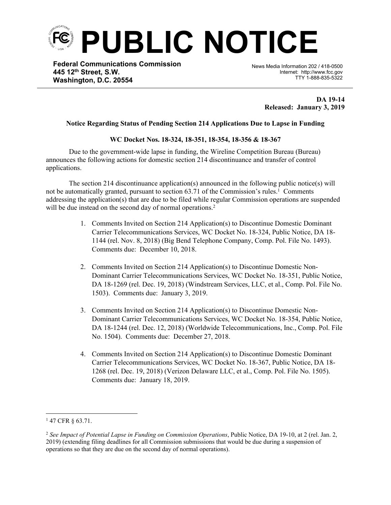

**Federal Communications Commission 445 12th Street, S.W. Washington, D.C. 20554**

News Media Information 202 / 418-0500 Internet: http://www.fcc.gov TTY 1-888-835-5322

> **DA 19-14 Released: January 3, 2019**

## **Notice Regarding Status of Pending Section 214 Applications Due to Lapse in Funding**

֡֡֡

## **WC Docket Nos. 18-324, 18-351, 18-354, 18-356 & 18-367**

Due to the government-wide lapse in funding, the Wireline Competition Bureau (Bureau) announces the following actions for domestic section 214 discontinuance and transfer of control applications.

The section 214 discontinuance application(s) announced in the following public notice(s) will not be automatically granted, pursuant to section 63.71 of the Commission's rules.<sup>1</sup> Comments addressing the application(s) that are due to be filed while regular Commission operations are suspended will be due instead on the second day of normal operations.<sup>2</sup>

- 1. Comments Invited on Section 214 Application(s) to Discontinue Domestic Dominant Carrier Telecommunications Services, WC Docket No. 18-324, Public Notice, DA 18- 1144 (rel. Nov. 8, 2018) (Big Bend Telephone Company, Comp. Pol. File No. 1493). Comments due: December 10, 2018.
- 2. Comments Invited on Section 214 Application(s) to Discontinue Domestic Non-Dominant Carrier Telecommunications Services, WC Docket No. 18-351, Public Notice, DA 18-1269 (rel. Dec. 19, 2018) (Windstream Services, LLC, et al., Comp. Pol. File No. 1503). Comments due: January 3, 2019.
- 3. Comments Invited on Section 214 Application(s) to Discontinue Domestic Non-Dominant Carrier Telecommunications Services, WC Docket No. 18-354, Public Notice, DA 18-1244 (rel. Dec. 12, 2018) (Worldwide Telecommunications, Inc., Comp. Pol. File No. 1504). Comments due: December 27, 2018.
- 4. Comments Invited on Section 214 Application(s) to Discontinue Domestic Dominant Carrier Telecommunications Services, WC Docket No. 18-367, Public Notice, DA 18- 1268 (rel. Dec. 19, 2018) (Verizon Delaware LLC, et al., Comp. Pol. File No. 1505). Comments due: January 18, 2019.

<sup>1</sup> 47 CFR § 63.71.

<sup>2</sup> *See Impact of Potential Lapse in Funding on Commission Operations*, Public Notice, DA 19-10, at 2 (rel. Jan. 2, 2019) (extending filing deadlines for all Commission submissions that would be due during a suspension of operations so that they are due on the second day of normal operations).